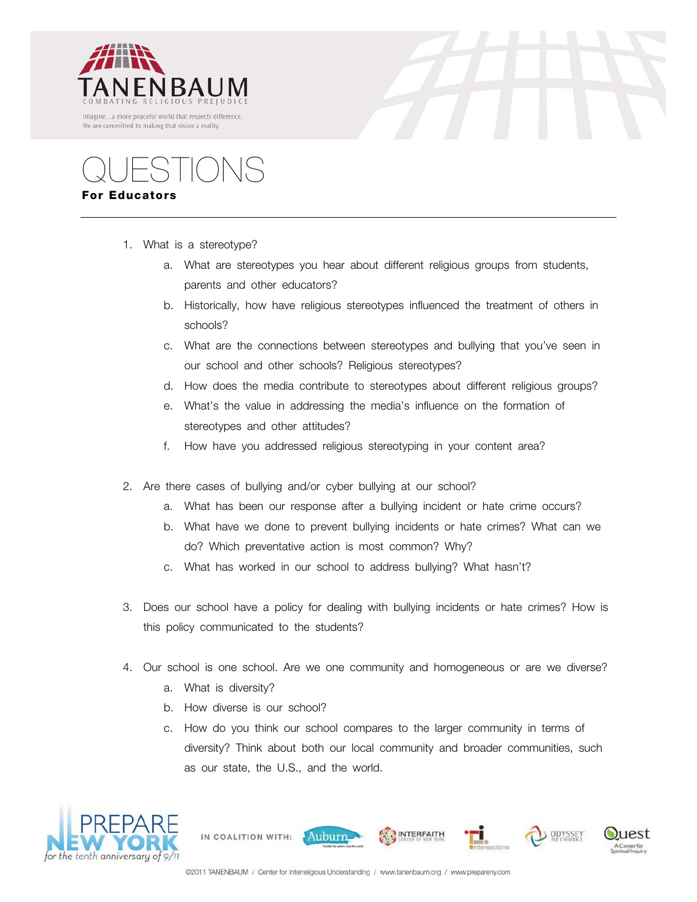



QUESTIONS **For Educators**

- 1. What is a stereotype?
	- a. What are stereotypes you hear about different religious groups from students, parents and other educators?
	- b. Historically, how have religious stereotypes influenced the treatment of others in schools?
	- c. What are the connections between stereotypes and bullying that you've seen in our school and other schools? Religious stereotypes?
	- d. How does the media contribute to stereotypes about different religious groups?
	- e. What's the value in addressing the media's influence on the formation of stereotypes and other attitudes?
	- f. How have you addressed religious stereotyping in your content area?
- 2. Are there cases of bullying and/or cyber bullying at our school?
	- a. What has been our response after a bullying incident or hate crime occurs?
	- b. What have we done to prevent bullying incidents or hate crimes? What can we do? Which preventative action is most common? Why?
	- c. What has worked in our school to address bullying? What hasn't?
- 3. Does our school have a policy for dealing with bullying incidents or hate crimes? How is this policy communicated to the students?
- 4. Our school is one school. Are we one community and homogeneous or are we diverse?
	- a. What is diversity?
	- b. How diverse is our school?

IN COALITION WITH:

c. How do you think our school compares to the larger community in terms of diversity? Think about both our local community and broader communities, such as our state, the U.S., and the world.

**INTERFAITH** 



Auburn